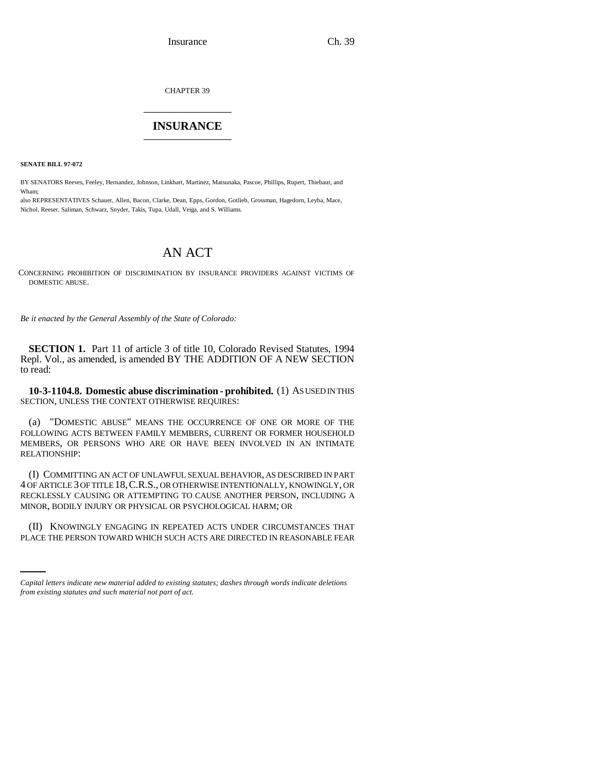CHAPTER 39 \_\_\_\_\_\_\_\_\_\_\_\_\_\_\_

## **INSURANCE** \_\_\_\_\_\_\_\_\_\_\_\_\_\_\_

**SENATE BILL 97-072**

BY SENATORS Reeves, Feeley, Hernandez, Johnson, Linkhart, Martinez, Matsunaka, Pascoe, Phillips, Rupert, Thiebaut, and Wham;

also REPRESENTATIVES Schauer, Allen, Bacon, Clarke, Dean, Epps, Gordon, Gotlieb, Grossman, Hagedorn, Leyba, Mace, Nichol, Reeser, Saliman, Schwarz, Snyder, Takis, Tupa, Udall, Veiga, and S. Williams.

## AN ACT

CONCERNING PROHIBITION OF DISCRIMINATION BY INSURANCE PROVIDERS AGAINST VICTIMS OF DOMESTIC ABUSE.

*Be it enacted by the General Assembly of the State of Colorado:*

**SECTION 1.** Part 11 of article 3 of title 10, Colorado Revised Statutes, 1994 Repl. Vol., as amended, is amended BY THE ADDITION OF A NEW SECTION to read:

**10-3-1104.8. Domestic abuse discrimination - prohibited.** (1) AS USED IN THIS SECTION, UNLESS THE CONTEXT OTHERWISE REQUIRES:

(a) "DOMESTIC ABUSE" MEANS THE OCCURRENCE OF ONE OR MORE OF THE FOLLOWING ACTS BETWEEN FAMILY MEMBERS, CURRENT OR FORMER HOUSEHOLD MEMBERS, OR PERSONS WHO ARE OR HAVE BEEN INVOLVED IN AN INTIMATE RELATIONSHIP:

(I) COMMITTING AN ACT OF UNLAWFUL SEXUAL BEHAVIOR, AS DESCRIBED IN PART 4 OF ARTICLE 3 OF TITLE 18,C.R.S., OR OTHERWISE INTENTIONALLY, KNOWINGLY, OR RECKLESSLY CAUSING OR ATTEMPTING TO CAUSE ANOTHER PERSON, INCLUDING A MINOR, BODILY INJURY OR PHYSICAL OR PSYCHOLOGICAL HARM; OR

(II) KNOWINGLY ENGAGING IN REPEATED ACTS UNDER CIRCUMSTANCES THAT PLACE THE PERSON TOWARD WHICH SUCH ACTS ARE DIRECTED IN REASONABLE FEAR

*Capital letters indicate new material added to existing statutes; dashes through words indicate deletions from existing statutes and such material not part of act.*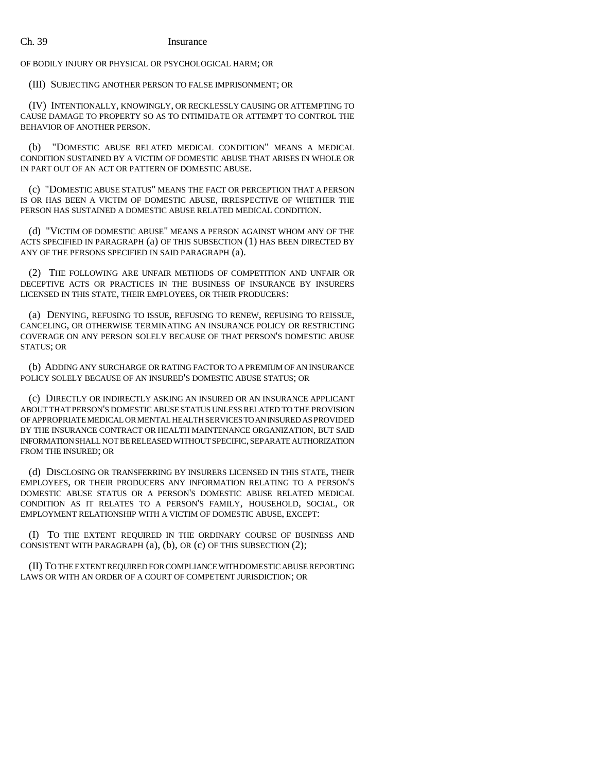OF BODILY INJURY OR PHYSICAL OR PSYCHOLOGICAL HARM; OR

(III) SUBJECTING ANOTHER PERSON TO FALSE IMPRISONMENT; OR

(IV) INTENTIONALLY, KNOWINGLY, OR RECKLESSLY CAUSING OR ATTEMPTING TO CAUSE DAMAGE TO PROPERTY SO AS TO INTIMIDATE OR ATTEMPT TO CONTROL THE BEHAVIOR OF ANOTHER PERSON.

(b) "DOMESTIC ABUSE RELATED MEDICAL CONDITION" MEANS A MEDICAL CONDITION SUSTAINED BY A VICTIM OF DOMESTIC ABUSE THAT ARISES IN WHOLE OR IN PART OUT OF AN ACT OR PATTERN OF DOMESTIC ABUSE.

(c) "DOMESTIC ABUSE STATUS" MEANS THE FACT OR PERCEPTION THAT A PERSON IS OR HAS BEEN A VICTIM OF DOMESTIC ABUSE, IRRESPECTIVE OF WHETHER THE PERSON HAS SUSTAINED A DOMESTIC ABUSE RELATED MEDICAL CONDITION.

(d) "VICTIM OF DOMESTIC ABUSE" MEANS A PERSON AGAINST WHOM ANY OF THE ACTS SPECIFIED IN PARAGRAPH (a) OF THIS SUBSECTION (1) HAS BEEN DIRECTED BY ANY OF THE PERSONS SPECIFIED IN SAID PARAGRAPH (a).

(2) THE FOLLOWING ARE UNFAIR METHODS OF COMPETITION AND UNFAIR OR DECEPTIVE ACTS OR PRACTICES IN THE BUSINESS OF INSURANCE BY INSURERS LICENSED IN THIS STATE, THEIR EMPLOYEES, OR THEIR PRODUCERS:

(a) DENYING, REFUSING TO ISSUE, REFUSING TO RENEW, REFUSING TO REISSUE, CANCELING, OR OTHERWISE TERMINATING AN INSURANCE POLICY OR RESTRICTING COVERAGE ON ANY PERSON SOLELY BECAUSE OF THAT PERSON'S DOMESTIC ABUSE STATUS; OR

(b) ADDING ANY SURCHARGE OR RATING FACTOR TO A PREMIUM OF AN INSURANCE POLICY SOLELY BECAUSE OF AN INSURED'S DOMESTIC ABUSE STATUS; OR

(c) DIRECTLY OR INDIRECTLY ASKING AN INSURED OR AN INSURANCE APPLICANT ABOUT THAT PERSON'S DOMESTIC ABUSE STATUS UNLESS RELATED TO THE PROVISION OF APPROPRIATE MEDICAL OR MENTAL HEALTH SERVICES TO AN INSURED AS PROVIDED BY THE INSURANCE CONTRACT OR HEALTH MAINTENANCE ORGANIZATION, BUT SAID INFORMATION SHALL NOT BE RELEASED WITHOUT SPECIFIC, SEPARATE AUTHORIZATION FROM THE INSURED; OR

(d) DISCLOSING OR TRANSFERRING BY INSURERS LICENSED IN THIS STATE, THEIR EMPLOYEES, OR THEIR PRODUCERS ANY INFORMATION RELATING TO A PERSON'S DOMESTIC ABUSE STATUS OR A PERSON'S DOMESTIC ABUSE RELATED MEDICAL CONDITION AS IT RELATES TO A PERSON'S FAMILY, HOUSEHOLD, SOCIAL, OR EMPLOYMENT RELATIONSHIP WITH A VICTIM OF DOMESTIC ABUSE, EXCEPT:

(I) TO THE EXTENT REQUIRED IN THE ORDINARY COURSE OF BUSINESS AND CONSISTENT WITH PARAGRAPH (a), (b), OR (c) OF THIS SUBSECTION (2);

(II) TO THE EXTENT REQUIRED FOR COMPLIANCE WITH DOMESTIC ABUSE REPORTING LAWS OR WITH AN ORDER OF A COURT OF COMPETENT JURISDICTION; OR